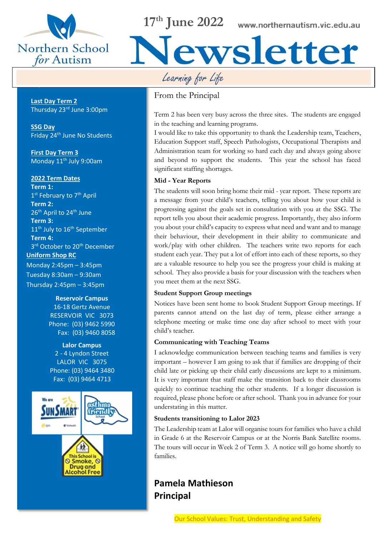

**Important Dates**

**17th June 2022**

Learning for Life

## From the Principal

Term 2 has been very busy across the three sites. The students are engaged in the teaching and learning programs.

iewsletter

I would like to take this opportunity to thank the Leadership team, Teachers, Education Support staff, Speech Pathologists, Occupational Therapists and Administration team for working so hard each day and always going above and beyond to support the students. This year the school has faced significant staffing shortages.

## **Mid - Year Reports**

The students will soon bring home their mid - year report. These reports are a message from your child's teachers, telling you about how your child is progressing against the goals set in consultation with you at the SSG. The report tells you about their academic progress. Importantly, they also inform you about your child's capacity to express what need and want and to manage their behaviour, their development in their ability to communicate and work/play with other children. The teachers write two reports for each student each year. They put a lot of effort into each of these reports, so they are a valuable resource to help you see the progress your child is making at school. They also provide a basis for your discussion with the teachers when you meet them at the next SSG.

### **Student Support Group meetings**

Notices have been sent home to book Student Support Group meetings. If parents cannot attend on the last day of term, please either arrange a telephone meeting or make time one day after school to meet with your child's teacher.

#### **Communicating with Teaching Teams**

I acknowledge communication between teaching teams and families is very important – however I am going to ask that if families are dropping of their child late or picking up their child early discussions are kept to a minimum. It is very important that staff make the transition back to their classrooms quickly to continue teaching the other students. If a longer discussion is required, please phone before or after school. Thank you in advance for your understating in this matter.

### **Students transitioning to Lalor 2023**

The Leadership team at Lalor will organise tours for families who have a child in Grade 6 at the Reservoir Campus or at the Norris Bank Satellite rooms. The tours will occur in Week 2 of Term 3. A notice will go home shortly to families.

## **Pamela Mathieson Principal**

#### Our School Values: Trust, Understanding and Safety

**Last Day Term 2**  Thursday 23rd June 3:00pm

**SSG Day** Friday 24th June No Students

**First Day Term 3** Monday 11<sup>th</sup> July 9:00am

#### **2022 Term Dates**

**Term 1:** 1<sup>st</sup> February to 7<sup>th</sup> April **Term 2:**  26<sup>th</sup> April to 24<sup>th</sup> June **Term 3:**  11<sup>th</sup> July to 16<sup>th</sup> September **Term 4:** 3<sup>rd</sup> October to 20<sup>th</sup> December **Uniform Shop RC**

Monday 2:45pm – 3:45pm Tuesday 8:30am – 9:30am Thursday 2:45pm – 3:45pm

#### **Reservoir Campus**

16-18 Gertz Avenue RESERVOIR VIC 3073 Phone: (03) 9462 5990 Fax: (03) 9460 8058

**Lalor Campus** 2 - 4 Lyndon Street LALOR VIC 3075 Phone: (03) 9464 3480 Fax: (03) 9464 4713

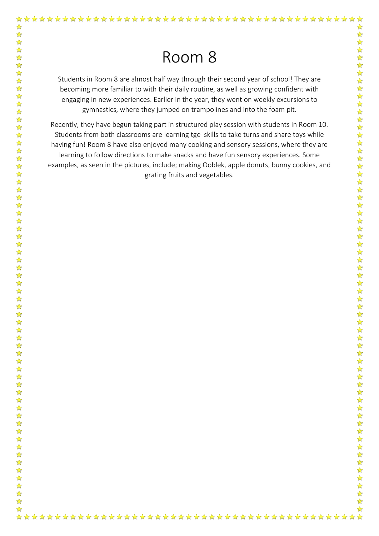☆

Students in Room 8 are almost half way through their second year of school! They are becoming more familiar to with their daily routine, as well as growing confident with engaging in new experiences. Earlier in the year, they went on weekly excursions to gymnastics, where they jumped on trampolines and into the foam pit.

Recently, they have begun taking part in structured play session with students in Room 10. Students from both classrooms are learning tge skills to take turns and share toys while having fun! Room 8 have also enjoyed many cooking and sensory sessions, where they are learning to follow directions to make snacks and have fun sensory experiences. Some examples, as seen in the pictures, include; making Ooblek, apple donuts, bunny cookies, and grating fruits and vegetables.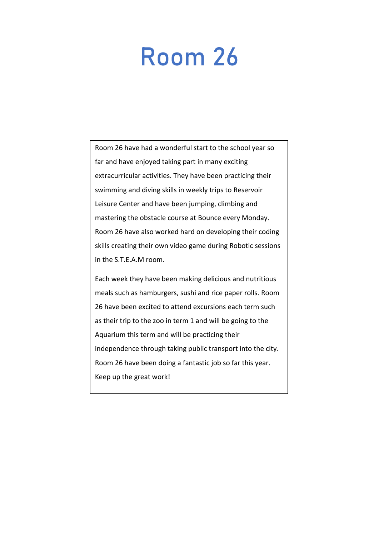# Room 26

Room 26 have had a wonderful start to the school year so far and have enjoyed taking part in many exciting extracurricular activities. They have been practicing their swimming and diving skills in weekly trips to Reservoir Leisure Center and have been jumping, climbing and mastering the obstacle course at Bounce every Monday. Room 26 have also worked hard on developing their coding skills creating their own video game during Robotic sessions in the S.T.E.A.M room.

Each week they have been making delicious and nutritious meals such as hamburgers, sushi and rice paper rolls. Room 26 have been excited to attend excursions each term such as their trip to the zoo in term 1 and will be going to the Aquarium this term and will be practicing their independence through taking public transport into the city. Room 26 have been doing a fantastic job so far this year. Keep up the great work!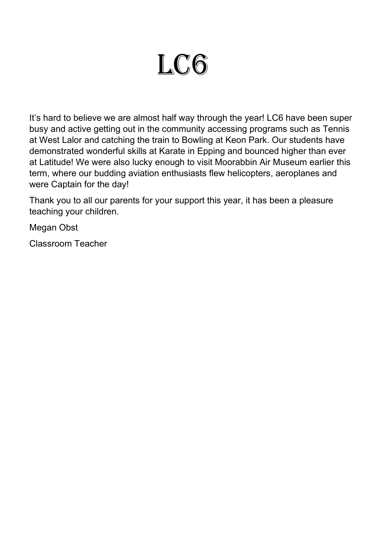# LC6

 at Latitude! We were also lucky enough to visit Moorabbin Air Museum earlier this It's hard to believe we are almost half way through the year! LC6 have been super busy and active getting out in the community accessing programs such as Tennis at West Lalor and catching the train to Bowling at Keon Park. Our students have demonstrated wonderful skills at Karate in Epping and bounced higher than ever term, where our budding aviation enthusiasts flew helicopters, aeroplanes and were Captain for the day!

Thank you to all our parents for your support this year, it has been a pleasure teaching your children.

Megan Obst

Classroom Teacher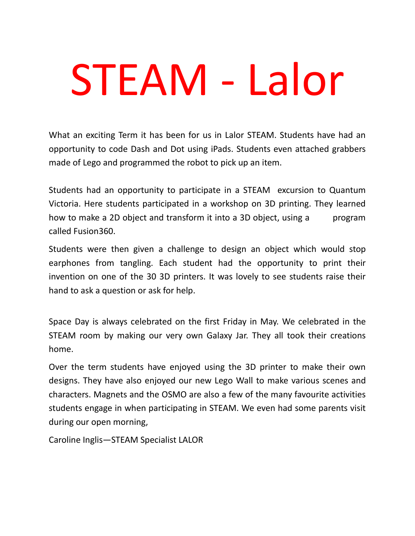# STEAM - Lalor

What an exciting Term it has been for us in Lalor STEAM. Students have had an opportunity to code Dash and Dot using iPads. Students even attached grabbers made of Lego and programmed the robot to pick up an item.

Students had an opportunity to participate in a STEAM excursion to Quantum Victoria. Here students participated in a workshop on 3D printing. They learned how to make a 2D object and transform it into a 3D object, using a program called Fusion360.

Students were then given a challenge to design an object which would stop earphones from tangling. Each student had the opportunity to print their invention on one of the 30 3D printers. It was lovely to see students raise their hand to ask a question or ask for help.

Space Day is always celebrated on the first Friday in May. We celebrated in the STEAM room by making our very own Galaxy Jar. They all took their creations home.

Over the term students have enjoyed using the 3D printer to make their own designs. They have also enjoyed our new Lego Wall to make various scenes and characters. Magnets and the OSMO are also a few of the many favourite activities students engage in when participating in STEAM. We even had some parents visit during our open morning,

Caroline Inglis—STEAM Specialist LALOR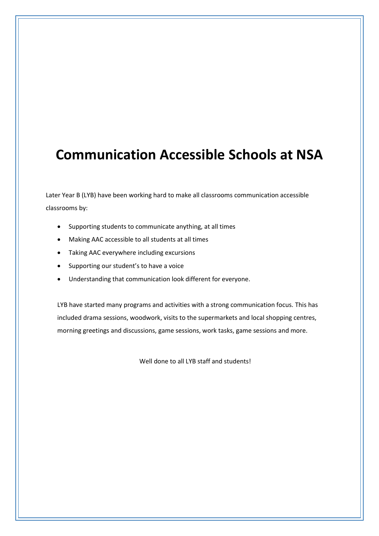## **Communication Accessible Schools at NSA**

Later Year B (LYB) have been working hard to make all classrooms communication accessible classrooms by:

- Supporting students to communicate anything, at all times
- Making AAC accessible to all students at all times
- Taking AAC everywhere including excursions
- Supporting our student's to have a voice
- Understanding that communication look different for everyone.

LYB have started many programs and activities with a strong communication focus. This has included drama sessions, woodwork, visits to the supermarkets and local shopping centres, morning greetings and discussions, game sessions, work tasks, game sessions and more.

Well done to all LYB staff and students!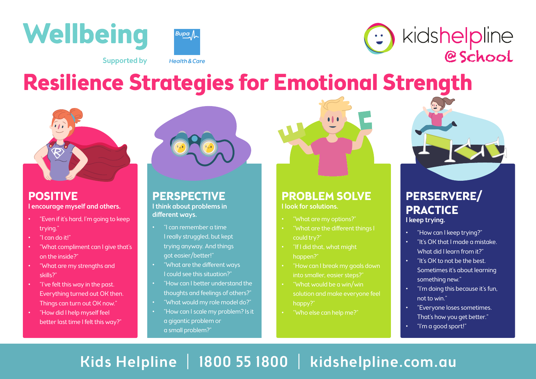





**Supported by** 

**Health & Care** 

## **Resilience Strategies for Emotional Strength**



## **POSITIVE** I encourage myself and others.

- "Even if it's hard, I'm going to keep trying."
- "I can do it!"
- "What compliment can I give that's on the inside?"
- "What are my strengths and skills?"
- "I've felt this way in the past. Everything turned out OK then. Things can turn out OK now."
- "How did I help myself feel better last time I felt this way?"



## **PERSPECTIVE** I think about problems in different ways.

- "I can remember a time I really struggled, but kept trying anyway. And things got easier/better!"
- "What are the different ways I could see this situation?"
- "How can I better understand the thoughts and feelings of others?"
- "What would my role model do?"
- "How can I scale my problem? Is it a gigantic problem or a small problem?"



## **PROBLEM SOLVE** I look for solutions.

- "What are my options?"
- "What are the different things I could try?"
- "If I did that, what might happen?"
- "How can I break my goals down into smaller, easier steps?"
- "What would be a win/win solution and make everyone feel happy?"
- "Who else can help me?"



## **PERSERVERE/ PRACTICE**

I keep trying.

- "How can I keep trying?"
- "It's OK that I made a mistake. What did I learn from it?"
- "It's OK to not be the best. Sometimes it's about learning something new."
- "I'm doing this because it's fun, not to win."
- "Everyone loses sometimes. That's how you get better."
- "I'm a good sport!"

## Kids Helpline | 1800 55 1800 | kidshelpline.com.au